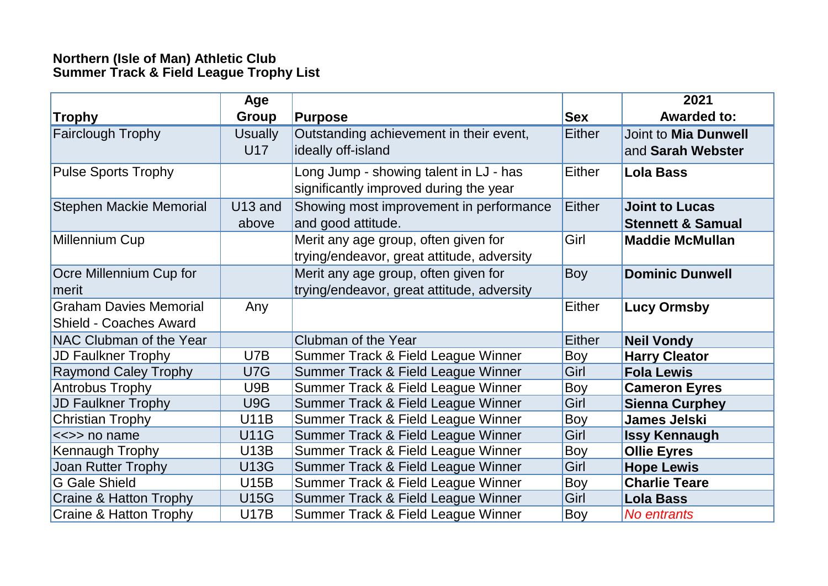## **Northern (Isle of Man) Athletic Club Summer Track & Field League Trophy List**

|                                                                | <b>Age</b>            |                                                                                    |               | 2021                                                  |
|----------------------------------------------------------------|-----------------------|------------------------------------------------------------------------------------|---------------|-------------------------------------------------------|
| <b>Trophy</b>                                                  | <b>Group</b>          | <b>Purpose</b>                                                                     | <b>Sex</b>    | <b>Awarded to:</b>                                    |
| <b>Fairclough Trophy</b>                                       | <b>Usually</b><br>U17 | Outstanding achievement in their event,<br>ideally off-island                      | <b>Either</b> | Joint to Mia Dunwell<br>and Sarah Webster             |
| <b>Pulse Sports Trophy</b>                                     |                       | Long Jump - showing talent in LJ - has<br>significantly improved during the year   | Either        | <b>Lola Bass</b>                                      |
| Stephen Mackie Memorial                                        | U13 and<br>above      | Showing most improvement in performance<br>and good attitude.                      | Either        | <b>Joint to Lucas</b><br><b>Stennett &amp; Samual</b> |
| Millennium Cup                                                 |                       | Merit any age group, often given for<br>trying/endeavor, great attitude, adversity | Girl          | <b>Maddie McMullan</b>                                |
| Ocre Millennium Cup for<br>merit                               |                       | Merit any age group, often given for<br>trying/endeavor, great attitude, adversity | <b>Boy</b>    | <b>Dominic Dunwell</b>                                |
| <b>Graham Davies Memorial</b><br><b>Shield - Coaches Award</b> | Any                   |                                                                                    | Either        | <b>Lucy Ormsby</b>                                    |
| NAC Clubman of the Year                                        |                       | Clubman of the Year                                                                | <b>Either</b> | <b>Neil Vondy</b>                                     |
| <b>JD Faulkner Trophy</b>                                      | U7B                   | Summer Track & Field League Winner                                                 | Boy           | <b>Harry Cleator</b>                                  |
| <b>Raymond Caley Trophy</b>                                    | U7G                   | Summer Track & Field League Winner                                                 | Girl          | <b>Fola Lewis</b>                                     |
| <b>Antrobus Trophy</b>                                         | U9B                   | Summer Track & Field League Winner                                                 | Boy           | <b>Cameron Eyres</b>                                  |
| <b>JD Faulkner Trophy</b>                                      | U9G                   | Summer Track & Field League Winner                                                 | Girl          | <b>Sienna Curphey</b>                                 |
| <b>Christian Trophy</b>                                        | <b>U11B</b>           | Summer Track & Field League Winner                                                 | <b>Boy</b>    | <b>James Jelski</b>                                   |
| <<>> no name                                                   | <b>U11G</b>           | Summer Track & Field League Winner                                                 | Girl          | <b>Issy Kennaugh</b>                                  |
| Kennaugh Trophy                                                | <b>U13B</b>           | Summer Track & Field League Winner                                                 | Boy           | <b>Ollie Eyres</b>                                    |
| Joan Rutter Trophy                                             | <b>U13G</b>           | Summer Track & Field League Winner                                                 | Girl          | <b>Hope Lewis</b>                                     |
| <b>G</b> Gale Shield                                           | <b>U15B</b>           | Summer Track & Field League Winner                                                 | Boy           | <b>Charlie Teare</b>                                  |
| <b>Craine &amp; Hatton Trophy</b>                              | <b>U15G</b>           | Summer Track & Field League Winner                                                 | Girl          | <b>Lola Bass</b>                                      |
| <b>Craine &amp; Hatton Trophy</b>                              | <b>U17B</b>           | Summer Track & Field League Winner                                                 | Boy           | No entrants                                           |